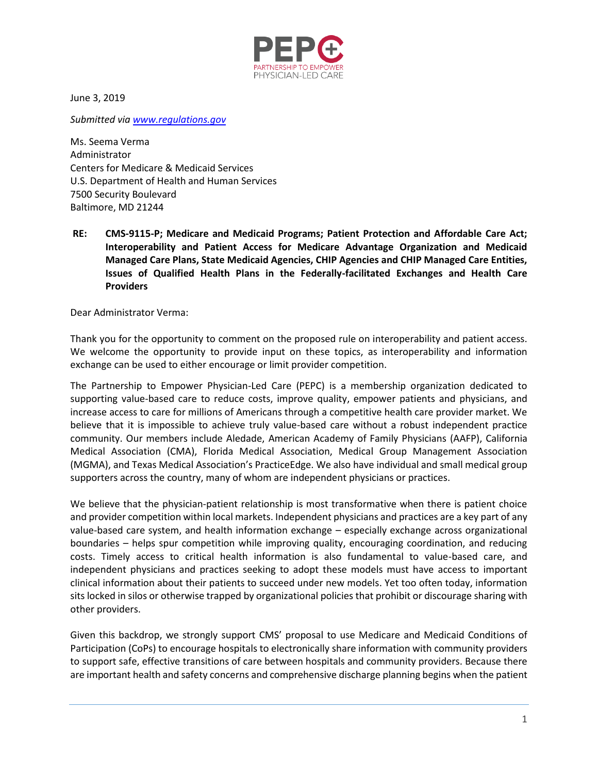

June 3, 2019

*Submitted via [www.regulations.gov](http://www.regulations.gov/)*

Ms. Seema Verma Administrator Centers for Medicare & Medicaid Services U.S. Department of Health and Human Services 7500 Security Boulevard Baltimore, MD 21244

**RE: CMS-9115-P; Medicare and Medicaid Programs; Patient Protection and Affordable Care Act; Interoperability and Patient Access for Medicare Advantage Organization and Medicaid Managed Care Plans, State Medicaid Agencies, CHIP Agencies and CHIP Managed Care Entities, Issues of Qualified Health Plans in the Federally-facilitated Exchanges and Health Care Providers** 

Dear Administrator Verma:

Thank you for the opportunity to comment on the proposed rule on interoperability and patient access. We welcome the opportunity to provide input on these topics, as interoperability and information exchange can be used to either encourage or limit provider competition.

The Partnership to Empower Physician-Led Care (PEPC) is a membership organization dedicated to supporting value-based care to reduce costs, improve quality, empower patients and physicians, and increase access to care for millions of Americans through a competitive health care provider market. We believe that it is impossible to achieve truly value-based care without a robust independent practice community. Our members include Aledade, American Academy of Family Physicians (AAFP), California Medical Association (CMA), Florida Medical Association, Medical Group Management Association (MGMA), and Texas Medical Association's PracticeEdge. We also have individual and small medical group supporters across the country, many of whom are independent physicians or practices.

We believe that the physician-patient relationship is most transformative when there is patient choice and provider competition within local markets. Independent physicians and practices are a key part of any value-based care system, and health information exchange – especially exchange across organizational boundaries – helps spur competition while improving quality, encouraging coordination, and reducing costs. Timely access to critical health information is also fundamental to value-based care, and independent physicians and practices seeking to adopt these models must have access to important clinical information about their patients to succeed under new models. Yet too often today, information sits locked in silos or otherwise trapped by organizational policies that prohibit or discourage sharing with other providers.

Given this backdrop, we strongly support CMS' proposal to use Medicare and Medicaid Conditions of Participation (CoPs) to encourage hospitals to electronically share information with community providers to support safe, effective transitions of care between hospitals and community providers. Because there are important health and safety concerns and comprehensive discharge planning begins when the patient